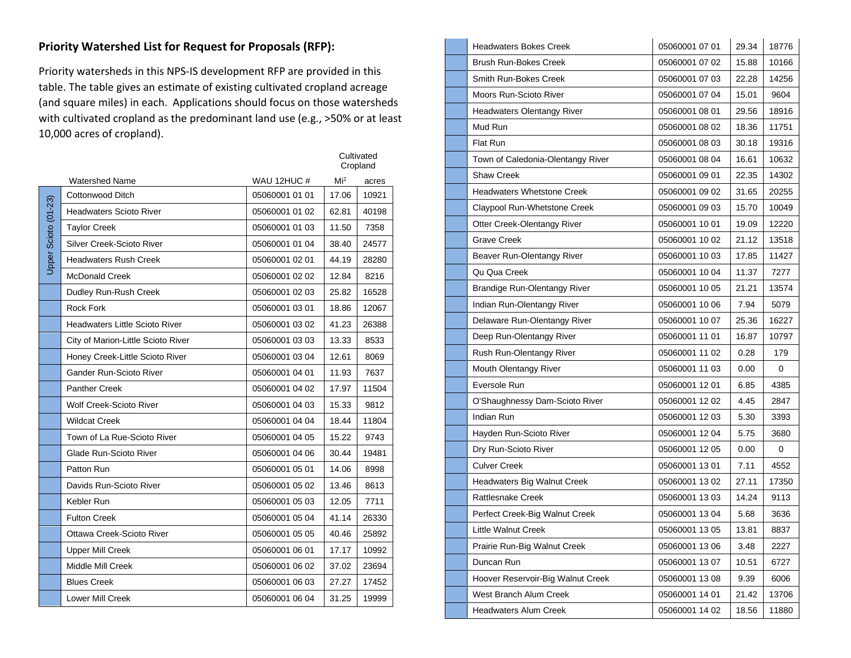## **Priority Watershed List for Request for Proposals (RFP):**

Priority watersheds in this NPS-IS development RFP are provided in this table. The table gives an estimate of existing cultivated cropland acreage (and square miles) in each. Applications should focus on those watersheds with cultivated cropland as the predominant land use (e.g., >50% or at least 10,000 acres of cropland).

|                      |                                       |                |                 | Cultivated<br>Cropland |
|----------------------|---------------------------------------|----------------|-----------------|------------------------|
|                      | <b>Watershed Name</b>                 | WAU 12HUC #    | Mi <sup>2</sup> | acres                  |
|                      | Cottonwood Ditch                      | 05060001 01 01 | 17.06           | 10921                  |
|                      | <b>Headwaters Scioto River</b>        | 05060001 01 02 | 62.81           | 40198                  |
|                      | <b>Taylor Creek</b>                   | 05060001 01 03 | 11.50           | 7358                   |
|                      | Silver Creek-Scioto River             | 05060001 01 04 | 38.40           | 24577                  |
| Upper Scioto (01-23) | <b>Headwaters Rush Creek</b>          | 05060001 02 01 | 44.19           | 28280                  |
|                      | <b>McDonald Creek</b>                 | 05060001 02 02 | 12.84           | 8216                   |
|                      | Dudley Run-Rush Creek                 | 05060001 02 03 | 25.82           | 16528                  |
|                      | <b>Rock Fork</b>                      | 05060001 03 01 | 18.86           | 12067                  |
|                      | <b>Headwaters Little Scioto River</b> | 05060001 03 02 | 41.23           | 26388                  |
|                      | City of Marion-Little Scioto River    | 05060001 03 03 | 13.33           | 8533                   |
|                      | Honey Creek-Little Scioto River       | 05060001 03 04 | 12.61           | 8069                   |
|                      | Gander Run-Scioto River               | 05060001 04 01 | 11.93           | 7637                   |
|                      | <b>Panther Creek</b>                  | 05060001 04 02 | 17.97           | 11504                  |
|                      | <b>Wolf Creek-Scioto River</b>        | 05060001 04 03 | 15.33           | 9812                   |
|                      | <b>Wildcat Creek</b>                  | 05060001 04 04 | 18.44           | 11804                  |
|                      | Town of La Rue-Scioto River           | 05060001 04 05 | 15.22           | 9743                   |
|                      | Glade Run-Scioto River                | 05060001 04 06 | 30.44           | 19481                  |
|                      | Patton Run                            | 05060001 05 01 | 14.06           | 8998                   |
|                      | Davids Run-Scioto River               | 05060001 05 02 | 13.46           | 8613                   |
|                      | Kebler Run                            | 05060001 05 03 | 12.05           | 7711                   |
|                      | <b>Fulton Creek</b>                   | 05060001 05 04 | 41.14           | 26330                  |
|                      | Ottawa Creek-Scioto River             | 05060001 05 05 | 40.46           | 25892                  |
|                      | <b>Upper Mill Creek</b>               | 05060001 06 01 | 17.17           | 10992                  |
|                      | <b>Middle Mill Creek</b>              | 05060001 06 02 | 37.02           | 23694                  |
|                      | <b>Blues Creek</b>                    | 05060001 06 03 | 27.27           | 17452                  |
|                      | <b>Lower Mill Creek</b>               | 05060001 06 04 | 31.25           | 19999                  |

| <b>Headwaters Bokes Creek</b>      | 05060001 07 01 | 29.34 | 18776 |
|------------------------------------|----------------|-------|-------|
| Brush Run-Bokes Creek              | 05060001 07 02 | 15.88 | 10166 |
| Smith Run-Bokes Creek              | 05060001 07 03 | 22.28 | 14256 |
| Moors Run-Scioto River             | 05060001 07 04 | 15.01 | 9604  |
| <b>Headwaters Olentangy River</b>  | 05060001 08 01 | 29.56 | 18916 |
| Mud Run                            | 05060001 08 02 | 18.36 | 11751 |
| Flat Run                           | 05060001 08 03 | 30.18 | 19316 |
| Town of Caledonia-Olentangy River  | 05060001 08 04 | 16.61 | 10632 |
| <b>Shaw Creek</b>                  | 05060001 09 01 | 22.35 | 14302 |
| <b>Headwaters Whetstone Creek</b>  | 05060001 09 02 | 31.65 | 20255 |
| Claypool Run-Whetstone Creek       | 05060001 09 03 | 15.70 | 10049 |
| Otter Creek-Olentangy River        | 05060001 10 01 | 19.09 | 12220 |
| <b>Grave Creek</b>                 | 05060001 10 02 | 21.12 | 13518 |
| Beaver Run-Olentangy River         | 05060001 10 03 | 17.85 | 11427 |
| Qu Qua Creek                       | 05060001 10 04 | 11.37 | 7277  |
| Brandige Run-Olentangy River       | 05060001 10 05 | 21.21 | 13574 |
| Indian Run-Olentangy River         | 05060001 10 06 | 7.94  | 5079  |
| Delaware Run-Olentangy River       | 05060001 10 07 | 25.36 | 16227 |
| Deep Run-Olentangy River           | 05060001 11 01 | 16.87 | 10797 |
| Rush Run-Olentangy River           | 05060001 11 02 | 0.28  | 179   |
| Mouth Olentangy River              | 05060001 11 03 | 0.00  | 0     |
| Eversole Run                       | 05060001 12 01 | 6.85  | 4385  |
| O'Shaughnessy Dam-Scioto River     | 05060001 12 02 | 4.45  | 2847  |
| Indian Run                         | 05060001 12 03 | 5.30  | 3393  |
| Hayden Run-Scioto River            | 05060001 12 04 | 5.75  | 3680  |
| Dry Run-Scioto River               | 05060001 12 05 | 0.00  | 0     |
| <b>Culver Creek</b>                | 05060001 13 01 | 7.11  | 4552  |
| <b>Headwaters Big Walnut Creek</b> | 05060001 13 02 | 27.11 | 17350 |
| <b>Rattlesnake Creek</b>           | 05060001 13 03 | 14.24 | 9113  |
| Perfect Creek-Big Walnut Creek     | 05060001 13 04 | 5.68  | 3636  |
| Little Walnut Creek                | 05060001 13 05 | 13.81 | 8837  |
| Prairie Run-Big Walnut Creek       | 05060001 13 06 | 3.48  | 2227  |
| Duncan Run                         | 05060001 13 07 | 10.51 | 6727  |
| Hoover Reservoir-Big Walnut Creek  | 05060001 13 08 | 9.39  | 6006  |
| West Branch Alum Creek             | 05060001 14 01 | 21.42 | 13706 |
| <b>Headwaters Alum Creek</b>       | 05060001 14 02 | 18.56 | 11880 |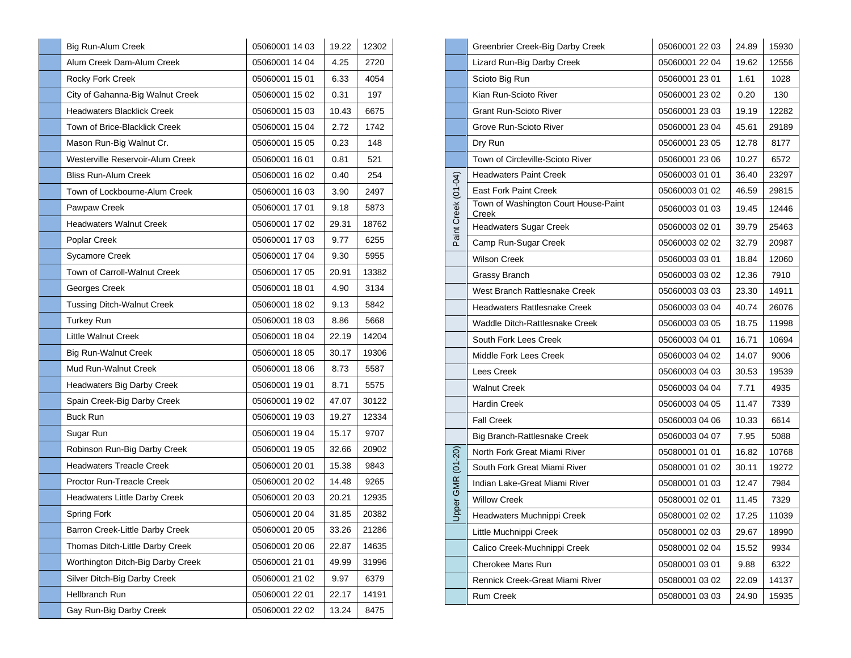| <b>Big Run-Alum Creek</b>         | 05060001 14 03 | 19.22 | 12302 |
|-----------------------------------|----------------|-------|-------|
| Alum Creek Dam-Alum Creek         | 05060001 14 04 | 4.25  | 2720  |
| Rocky Fork Creek                  | 05060001 15 01 | 6.33  | 4054  |
| City of Gahanna-Big Walnut Creek  | 05060001 15 02 | 0.31  | 197   |
| <b>Headwaters Blacklick Creek</b> | 05060001 15 03 | 10.43 | 6675  |
| Town of Brice-Blacklick Creek     | 05060001 15 04 | 2.72  | 1742  |
| Mason Run-Big Walnut Cr.          | 05060001 15 05 | 0.23  | 148   |
| Westerville Reservoir-Alum Creek  | 05060001 16 01 | 0.81  | 521   |
| <b>Bliss Run-Alum Creek</b>       | 05060001 16 02 | 0.40  | 254   |
| Town of Lockbourne-Alum Creek     | 05060001 16 03 | 3.90  | 2497  |
| Pawpaw Creek                      | 05060001 17 01 | 9.18  | 5873  |
| <b>Headwaters Walnut Creek</b>    | 05060001 17 02 | 29.31 | 18762 |
| Poplar Creek                      | 05060001 17 03 | 9.77  | 6255  |
| Sycamore Creek                    | 05060001 17 04 | 9.30  | 5955  |
| Town of Carroll-Walnut Creek      | 05060001 17 05 | 20.91 | 13382 |
| Georges Creek                     | 05060001 18 01 | 4.90  | 3134  |
| <b>Tussing Ditch-Walnut Creek</b> | 05060001 18 02 | 9.13  | 5842  |
| <b>Turkey Run</b>                 | 05060001 18 03 | 8.86  | 5668  |
| Little Walnut Creek               | 05060001 18 04 | 22.19 | 14204 |
| <b>Big Run-Walnut Creek</b>       | 05060001 18 05 | 30.17 | 19306 |
| Mud Run-Walnut Creek              | 05060001 18 06 | 8.73  | 5587  |
| Headwaters Big Darby Creek        | 05060001 19 01 | 8.71  | 5575  |
| Spain Creek-Big Darby Creek       | 05060001 19 02 | 47.07 | 30122 |
| <b>Buck Run</b>                   | 05060001 19 03 | 19.27 | 12334 |
| Sugar Run                         | 05060001 19 04 | 15.17 | 9707  |
| Robinson Run-Big Darby Creek      | 05060001 19 05 | 32.66 | 20902 |
| <b>Headwaters Treacle Creek</b>   | 05060001 20 01 | 15.38 | 9843  |
| <b>Proctor Run-Treacle Creek</b>  | 05060001 20 02 | 14.48 | 9265  |
| Headwaters Little Darby Creek     | 05060001 20 03 | 20.21 | 12935 |
| Spring Fork                       | 05060001 20 04 | 31.85 | 20382 |
| Barron Creek-Little Darby Creek   | 05060001 20 05 | 33.26 | 21286 |
| Thomas Ditch-Little Darby Creek   | 05060001 20 06 | 22.87 | 14635 |
| Worthington Ditch-Big Darby Creek | 05060001 21 01 | 49.99 | 31996 |
| Silver Ditch-Big Darby Creek      | 05060001 21 02 | 9.97  | 6379  |
| Hellbranch Run                    | 05060001 22 01 | 22.17 | 14191 |
| Gay Run-Big Darby Creek           | 05060001 22 02 | 13.24 | 8475  |

|                     | Greenbrier Creek-Big Darby Creek              | 05060001 22 03 | 24.89 | 15930 |
|---------------------|-----------------------------------------------|----------------|-------|-------|
|                     | Lizard Run-Big Darby Creek                    | 05060001 22 04 | 19.62 | 12556 |
|                     | Scioto Big Run                                | 05060001 23 01 | 1.61  | 1028  |
|                     | Kian Run-Scioto River                         | 05060001 23 02 | 0.20  | 130   |
|                     | <b>Grant Run-Scioto River</b>                 | 05060001 23 03 | 19.19 | 12282 |
|                     | Grove Run-Scioto River                        | 05060001 23 04 | 45.61 | 29189 |
|                     | Dry Run                                       | 05060001 23 05 | 12.78 | 8177  |
|                     | Town of Circleville-Scioto River              | 05060001 23 06 | 10.27 | 6572  |
|                     | <b>Headwaters Paint Creek</b>                 | 05060003 01 01 | 36.40 | 23297 |
|                     | <b>East Fork Paint Creek</b>                  | 05060003 01 02 | 46.59 | 29815 |
| Paint Creek (01-04) | Town of Washington Court House-Paint<br>Creek | 05060003 01 03 | 19.45 | 12446 |
|                     | <b>Headwaters Sugar Creek</b>                 | 05060003 02 01 | 39.79 | 25463 |
|                     | Camp Run-Sugar Creek                          | 05060003 02 02 | 32.79 | 20987 |
|                     | Wilson Creek                                  | 05060003 03 01 | 18.84 | 12060 |
|                     | Grassy Branch                                 | 05060003 03 02 | 12.36 | 7910  |
|                     | West Branch Rattlesnake Creek                 | 05060003 03 03 | 23.30 | 14911 |
|                     | Headwaters Rattlesnake Creek                  | 05060003 03 04 | 40.74 | 26076 |
|                     | Waddle Ditch-Rattlesnake Creek                | 05060003 03 05 | 18.75 | 11998 |
|                     | South Fork Lees Creek                         | 05060003 04 01 | 16.71 | 10694 |
|                     | Middle Fork Lees Creek                        | 05060003 04 02 | 14.07 | 9006  |
|                     | Lees Creek                                    | 05060003 04 03 | 30.53 | 19539 |
|                     | <b>Walnut Creek</b>                           | 05060003 04 04 | 7.71  | 4935  |
|                     | <b>Hardin Creek</b>                           | 05060003 04 05 | 11.47 | 7339  |
|                     | <b>Fall Creek</b>                             | 05060003 04 06 | 10.33 | 6614  |
|                     | Big Branch-Rattlesnake Creek                  | 05060003 04 07 | 7.95  | 5088  |
|                     | North Fork Great Miami River                  | 05080001 01 01 | 16.82 | 10768 |
|                     | South Fork Great Miami River                  | 05080001 01 02 | 30.11 | 19272 |
| Upper GMR (01-20)   | Indian Lake-Great Miami River                 | 05080001 01 03 | 12.47 | 7984  |
|                     | <b>Willow Creek</b>                           | 05080001 02 01 | 11.45 | 7329  |
|                     | Headwaters Muchnippi Creek                    | 05080001 02 02 | 17.25 | 11039 |
|                     | Little Muchnippi Creek                        | 05080001 02 03 | 29.67 | 18990 |
|                     | Calico Creek-Muchnippi Creek                  | 05080001 02 04 | 15.52 | 9934  |
|                     | Cherokee Mans Run                             | 05080001 03 01 | 9.88  | 6322  |
|                     | Rennick Creek-Great Miami River               | 05080001 03 02 | 22.09 | 14137 |
|                     | Rum Creek                                     | 05080001 03 03 | 24.90 | 15935 |
|                     |                                               |                |       |       |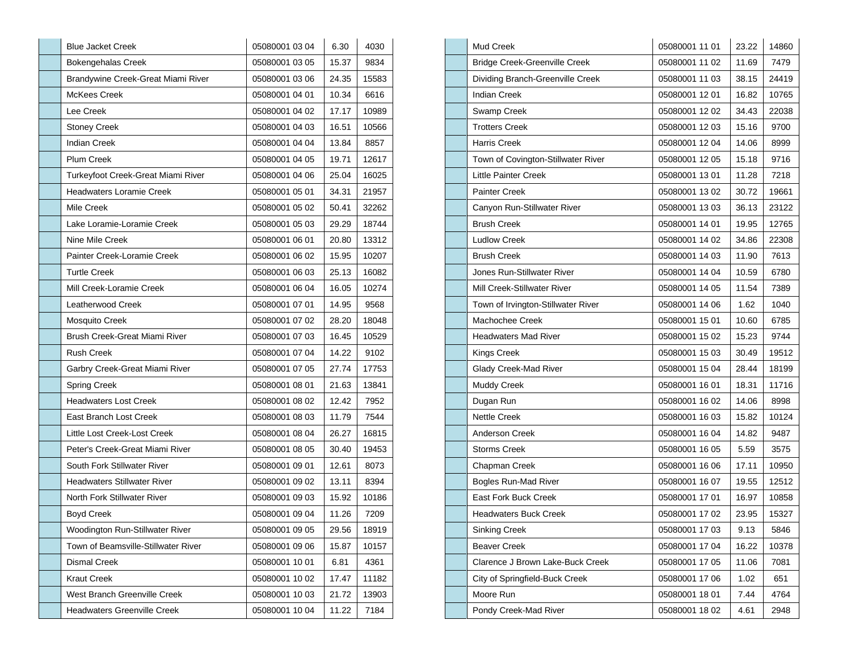| <b>Blue Jacket Creek</b>            | 05080001 03 04 | 6.30  | 4030  |
|-------------------------------------|----------------|-------|-------|
| <b>Bokengehalas Creek</b>           | 05080001 03 05 | 15.37 | 9834  |
| Brandywine Creek-Great Miami River  | 05080001 03 06 | 24.35 | 15583 |
| <b>McKees Creek</b>                 | 05080001 04 01 | 10.34 | 6616  |
| Lee Creek                           | 05080001 04 02 | 17.17 | 10989 |
| <b>Stoney Creek</b>                 | 05080001 04 03 | 16.51 | 10566 |
| <b>Indian Creek</b>                 | 05080001 04 04 | 13.84 | 8857  |
| <b>Plum Creek</b>                   | 05080001 04 05 | 19.71 | 12617 |
| Turkeyfoot Creek-Great Miami River  | 05080001 04 06 | 25.04 | 16025 |
| <b>Headwaters Loramie Creek</b>     | 05080001 05 01 | 34.31 | 21957 |
| Mile Creek                          | 05080001 05 02 | 50.41 | 32262 |
| Lake Loramie-Loramie Creek          | 05080001 05 03 | 29.29 | 18744 |
| Nine Mile Creek                     | 05080001 06 01 | 20.80 | 13312 |
| Painter Creek-Loramie Creek         | 05080001 06 02 | 15.95 | 10207 |
| <b>Turtle Creek</b>                 | 05080001 06 03 | 25.13 | 16082 |
| Mill Creek-Loramie Creek            | 05080001 06 04 | 16.05 | 10274 |
| Leatherwood Creek                   | 05080001 07 01 | 14.95 | 9568  |
| Mosquito Creek                      | 05080001 07 02 | 28.20 | 18048 |
| Brush Creek-Great Miami River       | 05080001 07 03 | 16.45 | 10529 |
| <b>Rush Creek</b>                   | 05080001 07 04 | 14.22 | 9102  |
| Garbry Creek-Great Miami River      | 05080001 07 05 | 27.74 | 17753 |
| Spring Creek                        | 05080001 08 01 | 21.63 | 13841 |
| <b>Headwaters Lost Creek</b>        | 05080001 08 02 | 12.42 | 7952  |
| East Branch Lost Creek              | 05080001 08 03 | 11.79 | 7544  |
| Little Lost Creek-Lost Creek        | 05080001 08 04 | 26.27 | 16815 |
| Peter's Creek-Great Miami River     | 05080001 08 05 | 30.40 | 19453 |
| South Fork Stillwater River         | 05080001 09 01 | 12.61 | 8073  |
| <b>Headwaters Stillwater River</b>  | 05080001 09 02 | 13.11 | 8394  |
| North Fork Stillwater River         | 05080001 09 03 | 15.92 | 10186 |
| <b>Boyd Creek</b>                   | 05080001 09 04 | 11.26 | 7209  |
| Woodington Run-Stillwater River     | 05080001 09 05 | 29.56 | 18919 |
| Town of Beamsville-Stillwater River | 05080001 09 06 | 15.87 | 10157 |
| Dismal Creek                        | 05080001 10 01 | 6.81  | 4361  |
| <b>Kraut Creek</b>                  | 05080001 10 02 | 17.47 | 11182 |
| West Branch Greenville Creek        | 05080001 10 03 | 21.72 | 13903 |
| <b>Headwaters Greenville Creek</b>  | 05080001 10 04 | 11.22 | 7184  |

| Mud Creek                                                            | 05080001 11 01                                                       | 23.22                | 14860 |
|----------------------------------------------------------------------|----------------------------------------------------------------------|----------------------|-------|
|                                                                      |                                                                      |                      |       |
| <b>Bridge Creek-Greenville Creek</b>                                 | 05080001 11 02                                                       | 11.69                | 7479  |
| Dividing Branch-Greenville Creek                                     | 05080001 11 03                                                       | 38.15                | 24419 |
| <b>Indian Creek</b>                                                  | 05080001 12 01                                                       | 16.82                | 10765 |
| Swamp Creek                                                          | 05080001 12 02                                                       | 34.43                | 22038 |
| <b>Trotters Creek</b>                                                | 05080001 12 03                                                       | 15.16                | 9700  |
| <b>Harris Creek</b>                                                  | 05080001 12 04                                                       | 14.06                | 8999  |
| Town of Covington-Stillwater River                                   | 05080001 12 05                                                       | 15.18                | 9716  |
| <b>Little Painter Creek</b>                                          | 05080001 13 01                                                       | 11.28                | 7218  |
| <b>Painter Creek</b>                                                 | 05080001 13 02                                                       | 30.72                | 19661 |
| Canyon Run-Stillwater River                                          | 05080001 13 03                                                       | 36.13                | 23122 |
| <b>Brush Creek</b>                                                   | 05080001 14 01                                                       | 19.95                | 12765 |
| <b>Ludlow Creek</b>                                                  | 05080001 14 02                                                       | 34.86                | 22308 |
| <b>Brush Creek</b>                                                   | 05080001 14 03                                                       | 11.90                | 7613  |
| Jones Run-Stillwater River                                           | 05080001 14 04                                                       | 10.59                | 6780  |
| Mill Creek-Stillwater River                                          | 05080001 14 05                                                       | 11.54                | 7389  |
| Town of Irvington-Stillwater River                                   | 05080001 14 06                                                       | 1.62                 | 1040  |
| Machochee Creek                                                      | 05080001 15 01                                                       | 10.60                | 6785  |
| <b>Headwaters Mad River</b>                                          | 05080001 15 02                                                       | 15.23                | 9744  |
| Kings Creek                                                          | 05080001 15 03                                                       | 30.49                | 19512 |
| Glady Creek-Mad River                                                | 05080001 15 04                                                       | 28.44                | 18199 |
| Muddy Creek                                                          | 05080001 16 01                                                       | 18.31                | 11716 |
| Dugan Run                                                            | 05080001 16 02                                                       | 14.06                | 8998  |
| <b>Nettle Creek</b>                                                  | 05080001 16 03                                                       | 15.82                | 10124 |
| Anderson Creek                                                       | 05080001 16 04                                                       | 14.82                | 9487  |
| <b>Storms Creek</b>                                                  | 05080001 16 05                                                       | 5.59                 | 3575  |
| Chapman Creek                                                        | 05080001 16 06                                                       | 17.11                | 10950 |
| Bogles Run-Mad River                                                 | 05080001 16 07                                                       | 19.55                | 12512 |
| <b>East Fork Buck Creek</b>                                          | 05080001 17 01                                                       | 16.97                | 10858 |
| <b>Headwaters Buck Creek</b>                                         |                                                                      | 23.95                | 15327 |
| Sinking Creek                                                        | 05080001 17 03                                                       | 9.13                 | 5846  |
| <b>Beaver Creek</b>                                                  | 05080001 17 04                                                       | 16.22                | 10378 |
| Clarence J Brown Lake-Buck Creek                                     | 05080001 17 05                                                       | 11.06                | 7081  |
|                                                                      |                                                                      |                      | 651   |
|                                                                      |                                                                      |                      | 4764  |
|                                                                      |                                                                      |                      | 2948  |
| City of Springfield-Buck Creek<br>Moore Run<br>Pondy Creek-Mad River | 05080001 17 02<br>05080001 17 06<br>05080001 18 01<br>05080001 18 02 | 1.02<br>7.44<br>4.61 |       |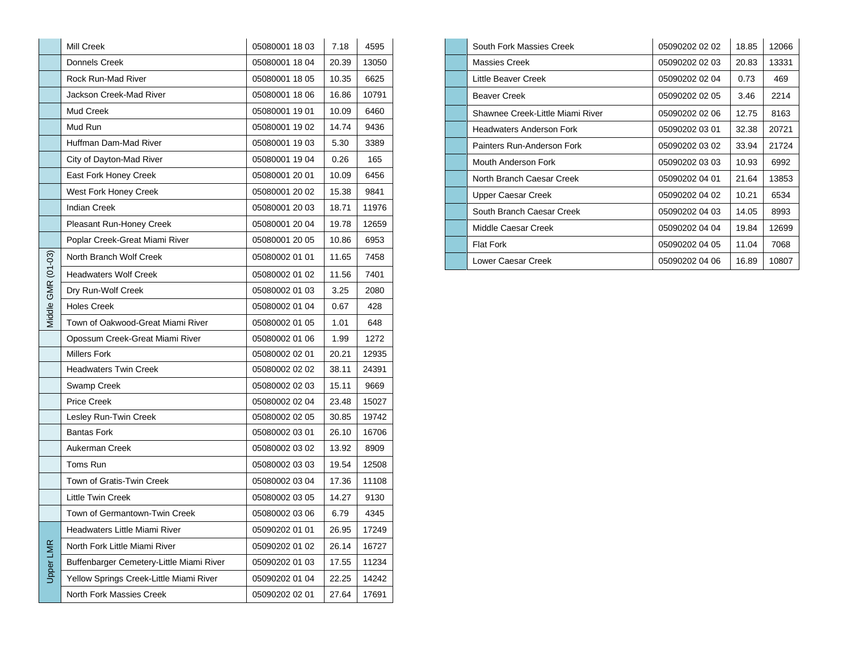|                    | Mill Creek                               | 05080001 18 03 | 7.18  | 4595  |
|--------------------|------------------------------------------|----------------|-------|-------|
|                    | Donnels Creek                            | 05080001 18 04 | 20.39 | 13050 |
|                    | Rock Run-Mad River                       | 05080001 18 05 | 10.35 | 6625  |
|                    | Jackson Creek-Mad River                  | 05080001 18 06 | 16.86 | 10791 |
|                    | Mud Creek                                | 05080001 19 01 | 10.09 | 6460  |
|                    | Mud Run                                  | 05080001 19 02 | 14.74 | 9436  |
|                    | Huffman Dam-Mad River                    | 05080001 19 03 | 5.30  | 3389  |
|                    | City of Dayton-Mad River                 | 05080001 19 04 | 0.26  | 165   |
|                    | East Fork Honey Creek                    | 05080001 20 01 | 10.09 | 6456  |
|                    | West Fork Honey Creek                    | 05080001 20 02 | 15.38 | 9841  |
|                    | <b>Indian Creek</b>                      | 05080001 20 03 | 18.71 | 11976 |
|                    | Pleasant Run-Honey Creek                 | 05080001 20 04 | 19.78 | 12659 |
|                    | Poplar Creek-Great Miami River           | 05080001 20 05 | 10.86 | 6953  |
|                    | North Branch Wolf Creek                  | 05080002 01 01 | 11.65 | 7458  |
| Middle GMR (01-03) | <b>Headwaters Wolf Creek</b>             | 05080002 01 02 | 11.56 | 7401  |
|                    | Dry Run-Wolf Creek                       | 05080002 01 03 | 3.25  | 2080  |
|                    | <b>Holes Creek</b>                       | 05080002 01 04 | 0.67  | 428   |
|                    | Town of Oakwood-Great Miami River        | 05080002 01 05 | 1.01  | 648   |
|                    | Opossum Creek-Great Miami River          | 05080002 01 06 | 1.99  | 1272  |
|                    | <b>Millers Fork</b>                      | 05080002 02 01 | 20.21 | 12935 |
|                    | <b>Headwaters Twin Creek</b>             | 05080002 02 02 | 38.11 | 24391 |
|                    | Swamp Creek                              | 05080002 02 03 | 15.11 | 9669  |
|                    | <b>Price Creek</b>                       | 05080002 02 04 | 23.48 | 15027 |
|                    | Lesley Run-Twin Creek                    | 05080002 02 05 | 30.85 | 19742 |
|                    | <b>Bantas Fork</b>                       | 05080002 03 01 | 26.10 | 16706 |
|                    | Aukerman Creek                           | 05080002 03 02 | 13.92 | 8909  |
|                    | Toms Run                                 | 05080002 03 03 | 19.54 | 12508 |
|                    | Town of Gratis-Twin Creek                | 05080002 03 04 | 17.36 | 11108 |
|                    | <b>Little Twin Creek</b>                 | 05080002 03 05 | 14.27 | 9130  |
|                    | Town of Germantown-Twin Creek            | 05080002 03 06 | 6.79  | 4345  |
|                    | Headwaters Little Miami River            | 05090202 01 01 | 26.95 | 17249 |
| Upper LMR          | North Fork Little Miami River            | 05090202 01 02 | 26.14 | 16727 |
|                    | Buffenbarger Cemetery-Little Miami River | 05090202 01 03 | 17.55 | 11234 |
|                    | Yellow Springs Creek-Little Miami River  | 05090202 01 04 | 22.25 | 14242 |
|                    | North Fork Massies Creek                 | 05090202 02 01 | 27.64 | 17691 |

| South Fork Massies Creek         | 05090202 02 02 | 18.85 | 12066 |
|----------------------------------|----------------|-------|-------|
| Massies Creek                    | 05090202 02 03 | 20.83 | 13331 |
| Little Beaver Creek              | 05090202 02 04 | 0.73  | 469   |
| <b>Beaver Creek</b>              | 05090202 02 05 | 3.46  | 2214  |
| Shawnee Creek-Little Miami River | 05090202 02 06 | 12.75 | 8163  |
| <b>Headwaters Anderson Fork</b>  | 05090202 03 01 | 32.38 | 20721 |
| Painters Run-Anderson Fork       | 05090202 03 02 | 33.94 | 21724 |
| Mouth Anderson Fork              | 05090202 03 03 | 10.93 | 6992  |
| North Branch Caesar Creek        | 05090202 04 01 | 21.64 | 13853 |
| Upper Caesar Creek               | 05090202 04 02 | 10.21 | 6534  |
| South Branch Caesar Creek        | 05090202 04 03 | 14.05 | 8993  |
| Middle Caesar Creek              | 05090202 04 04 | 19.84 | 12699 |
| <b>Flat Fork</b>                 | 05090202 04 05 | 11.04 | 7068  |
| Lower Caesar Creek               | 05090202 04 06 | 16.89 | 10807 |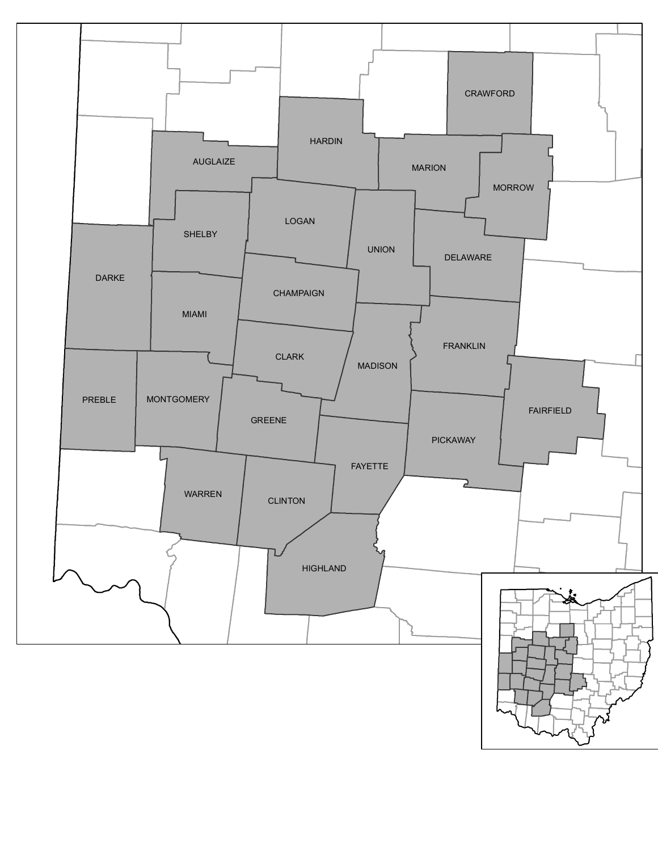